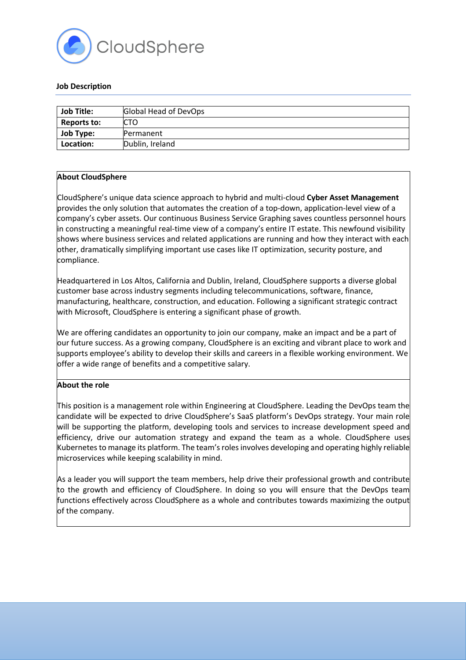

#### **Job Description**

| <b>Job Title:</b> | Global Head of DevOps |
|-------------------|-----------------------|
| Reports to:       | <b>CTO</b>            |
| <b>Job Type:</b>  | Permanent             |
| Location:         | Dublin, Ireland       |

#### **About CloudSphere**

CloudSphere's unique data science approach to hybrid and multi-cloud **Cyber Asset Management** provides the only solution that automates the creation of a top-down, application-level view of a company's cyber assets. Our continuous Business Service Graphing saves countless personnel hours in constructing a meaningful real-time view of a company's entire IT estate. This newfound visibility shows where business services and related applications are running and how they interact with each other, dramatically simplifying important use cases like IT optimization, security posture, and compliance.

Headquartered in Los Altos, California and Dublin, Ireland, CloudSphere supports a diverse global customer base across industry segments including telecommunications, software, finance, manufacturing, healthcare, construction, and education. Following a significant strategic contract with Microsoft, CloudSphere is entering a significant phase of growth.

We are offering candidates an opportunity to join our company, make an impact and be a part of our future success. As a growing company, CloudSphere is an exciting and vibrant place to work and supports employee's ability to develop their skills and careers in a flexible working environment. We offer a wide range of benefits and a competitive salary.

# **About the role**

This position is a management role within Engineering at CloudSphere. Leading the DevOps team the candidate will be expected to drive CloudSphere's SaaS platform's DevOps strategy. Your main role will be supporting the platform, developing tools and services to increase development speed and efficiency, drive our automation strategy and expand the team as a whole. CloudSphere uses Kubernetes to manage its platform. The team's roles involves developing and operating highly reliable microservices while keeping scalability in mind.

As a leader you will support the team members, help drive their professional growth and contribute to the growth and efficiency of CloudSphere. In doing so you will ensure that the DevOps team functions effectively across CloudSphere as a whole and contributes towards maximizing the output of the company.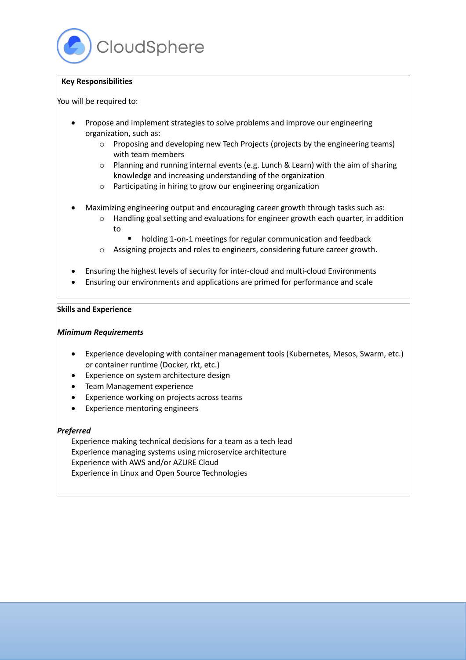# **Key Responsibilities**

You will be required to:

- Propose and implement strategies to solve problems and improve our engineering organization, such as:
	- o Proposing and developing new Tech Projects (projects by the engineering teams) with team members
	- o Planning and running internal events (e.g. Lunch & Learn) with the aim of sharing knowledge and increasing understanding of the organization
	- o Participating in hiring to grow our engineering organization
- Maximizing engineering output and encouraging career growth through tasks such as:
	- o Handling goal setting and evaluations for engineer growth each quarter, in addition to
		- holding 1-on-1 meetings for regular communication and feedback
	- o Assigning projects and roles to engineers, considering future career growth.
- Ensuring the highest levels of security for inter-cloud and multi-cloud Environments
- Ensuring our environments and applications are primed for performance and scale

# **Skills and Experience**

# *Minimum Requirements*

- Experience developing with container management tools (Kubernetes, Mesos, Swarm, etc.) or container runtime (Docker, rkt, etc.)
- Experience on system architecture design
- Team Management experience
- Experience working on projects across teams
- Experience mentoring engineers

# *Preferred*

Experience making technical decisions for a team as a tech lead Experience managing systems using microservice architecture Experience with AWS and/or AZURE Cloud Experience in Linux and Open Source Technologies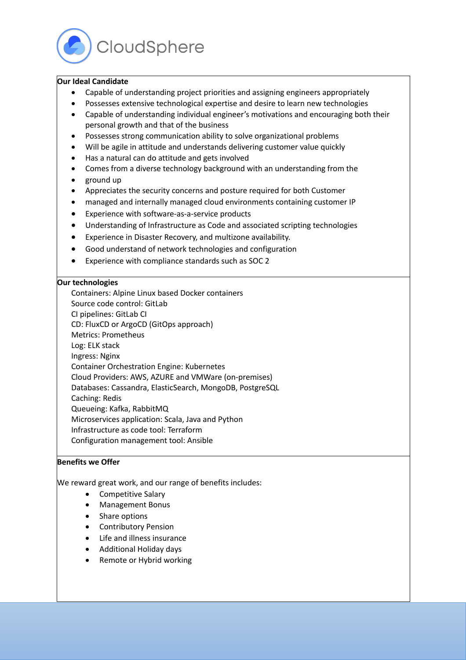CloudSphere

#### **Our Ideal Candidate**

- Capable of understanding project priorities and assigning engineers appropriately
- Possesses extensive technological expertise and desire to learn new technologies
- Capable of understanding individual engineer's motivations and encouraging both their personal growth and that of the business
- Possesses strong communication ability to solve organizational problems
- Will be agile in attitude and understands delivering customer value quickly
- Has a natural can do attitude and gets involved
- Comes from a diverse technology background with an understanding from the • ground up
- Appreciates the security concerns and posture required for both Customer
- managed and internally managed cloud environments containing customer IP
- Experience with software-as-a-service products
- Understanding of Infrastructure as Code and associated scripting technologies
- Experience in Disaster Recovery, and multizone availability.
- Good understand of network technologies and configuration
- Experience with compliance standards such as SOC 2

#### **Our technologies**

Containers: Alpine Linux based Docker containers

Source code control: GitLab

CI pipelines: GitLab CI

CD: FluxCD or ArgoCD (GitOps approach)

- Metrics: Prometheus
- Log: ELK stack
- Ingress: Nginx

Container Orchestration Engine: Kubernetes

Cloud Providers: AWS, AZURE and VMWare (on-premises)

Databases: Cassandra, ElasticSearch, MongoDB, PostgreSQL

Caching: Redis

Queueing: Kafka, RabbitMQ

Microservices application: Scala, Java and Python

Infrastructure as code tool: Terraform

Configuration management tool: Ansible

#### **Benefits we Offer**

We reward great work, and our range of benefits includes:

- Competitive Salary
- Management Bonus
- Share options
- Contributory Pension
- Life and illness insurance
- Additional Holiday days
- Remote or Hybrid working